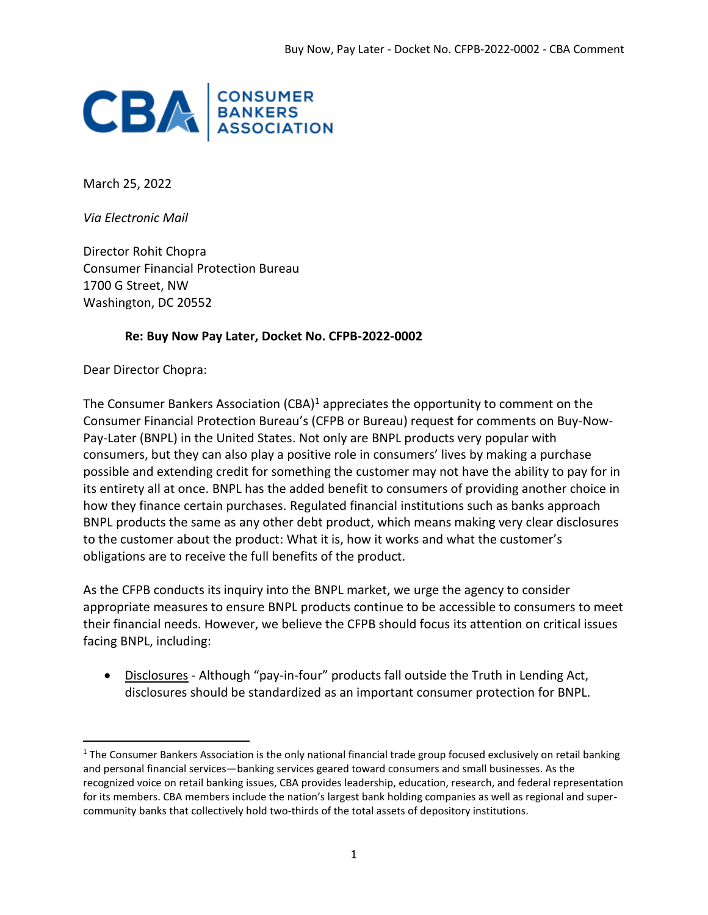

March 25, 2022

*Via Electronic Mail* 

Director Rohit Chopra Consumer Financial Protection Bureau 1700 G Street, NW Washington, DC 20552

#### **Re: Buy Now Pay Later, Docket No. CFPB-2022-0002**

Dear Director Chopra:

The Consumer Bankers Association  $(CBA)^1$  appreciates the opportunity to comment on the Consumer Financial Protection Bureau's (CFPB or Bureau) request for comments on Buy-Now-Pay-Later (BNPL) in the United States. Not only are BNPL products very popular with consumers, but they can also play a positive role in consumers' lives by making a purchase possible and extending credit for something the customer may not have the ability to pay for in its entirety all at once. BNPL has the added benefit to consumers of providing another choice in how they finance certain purchases. Regulated financial institutions such as banks approach BNPL products the same as any other debt product, which means making very clear disclosures to the customer about the product: What it is, how it works and what the customer's obligations are to receive the full benefits of the product.

As the CFPB conducts its inquiry into the BNPL market, we urge the agency to consider appropriate measures to ensure BNPL products continue to be accessible to consumers to meet their financial needs. However, we believe the CFPB should focus its attention on critical issues facing BNPL, including:

• Disclosures - Although "pay-in-four" products fall outside the Truth in Lending Act, disclosures should be standardized as an important consumer protection for BNPL.

 $1$  The Consumer Bankers Association is the only national financial trade group focused exclusively on retail banking and personal financial services—banking services geared toward consumers and small businesses. As the recognized voice on retail banking issues, CBA provides leadership, education, research, and federal representation for its members. CBA members include the nation's largest bank holding companies as well as regional and supercommunity banks that collectively hold two-thirds of the total assets of depository institutions.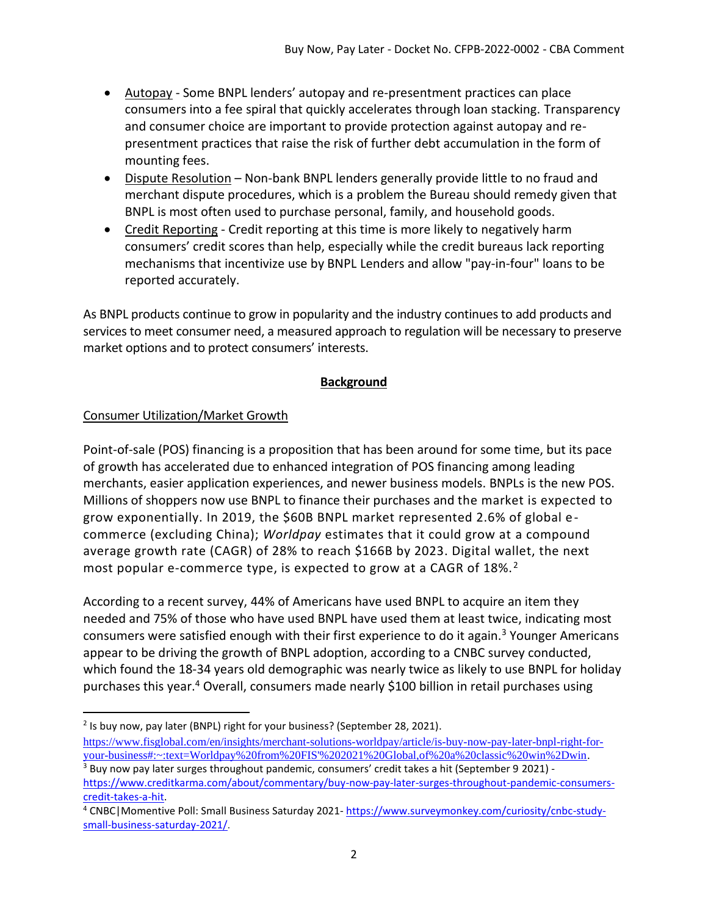- Autopay Some BNPL lenders' autopay and re-presentment practices can place consumers into a fee spiral that quickly accelerates through loan stacking. Transparency and consumer choice are important to provide protection against autopay and representment practices that raise the risk of further debt accumulation in the form of mounting fees.
- Dispute Resolution Non-bank BNPL lenders generally provide little to no fraud and merchant dispute procedures, which is a problem the Bureau should remedy given that BNPL is most often used to purchase personal, family, and household goods.
- Credit Reporting Credit reporting at this time is more likely to negatively harm consumers' credit scores than help, especially while the credit bureaus lack reporting mechanisms that incentivize use by BNPL Lenders and allow "pay-in-four" loans to be reported accurately.

As BNPL products continue to grow in popularity and the industry continues to add products and services to meet consumer need, a measured approach to regulation will be necessary to preserve market options and to protect consumers' interests.

#### **Background**

## Consumer Utilization/Market Growth

Point-of-sale (POS) financing is a proposition that has been around for some time, but its pace of growth has accelerated due to enhanced integration of POS financing among leading merchants, easier application experiences, and newer business models. BNPLs is the new POS. Millions of shoppers now use BNPL to finance their purchases and the market is expected to grow exponentially. In 2019, the \$60B BNPL market represented 2.6% of global ecommerce (excluding China); *Worldpay* estimates that it could grow at a compound average growth rate (CAGR) of 28% to reach \$166B by 2023. Digital wallet, the next most popular e-commerce type, is expected to grow at a CAGR of 18%.<sup>2</sup>

According to a recent survey, 44% of Americans have used BNPL to acquire an item they needed and 75% of those who have used BNPL have used them at least twice, indicating most consumers were satisfied enough with their first experience to do it again.<sup>3</sup> Younger Americans appear to be driving the growth of BNPL adoption, according to a CNBC survey conducted, which found the 18-34 years old demographic was nearly twice as likely to use BNPL for holiday purchases this year.<sup>4</sup> Overall, consumers made nearly \$100 billion in retail purchases using

<sup>&</sup>lt;sup>2</sup> Is buy now, pay later (BNPL) right for your business? (September 28, 2021).

[https://www.fisglobal.com/en/insights/merchant-solutions-worldpay/article/is-buy-now-pay-later-bnpl-right-for](https://www.fisglobal.com/en/insights/merchant-solutions-worldpay/article/is-buy-now-pay-later-bnpl-right-for-your-business#:~:text=Worldpay%20from%20FIS)[your-business#:~:text=Worldpay%20from%20FIS'%202021%20Global,of%20a%20classic%20win%2Dwin.](https://www.fisglobal.com/en/insights/merchant-solutions-worldpay/article/is-buy-now-pay-later-bnpl-right-for-your-business#:~:text=Worldpay%20from%20FIS)

<sup>&</sup>lt;sup>3</sup> Buy now pay later surges throughout pandemic, consumers' credit takes a hit (September 9 2021) [https://www.creditkarma.com/about/commentary/buy-now-pay-later-surges-throughout-pandemic-consumers](https://www.creditkarma.com/about/commentary/buy-now-pay-later-surges-throughout-pandemic-consumers-credit-takes-a-hit)[credit-takes-a-hit.](https://www.creditkarma.com/about/commentary/buy-now-pay-later-surges-throughout-pandemic-consumers-credit-takes-a-hit)

<sup>4</sup> CNBC|Momentive Poll: Small Business Saturday 2021- [https://www.surveymonkey.com/curiosity/cnbc-study](https://www.surveymonkey.com/curiosity/cnbc-study-small-business-saturday-2021/)[small-business-saturday-2021/.](https://www.surveymonkey.com/curiosity/cnbc-study-small-business-saturday-2021/)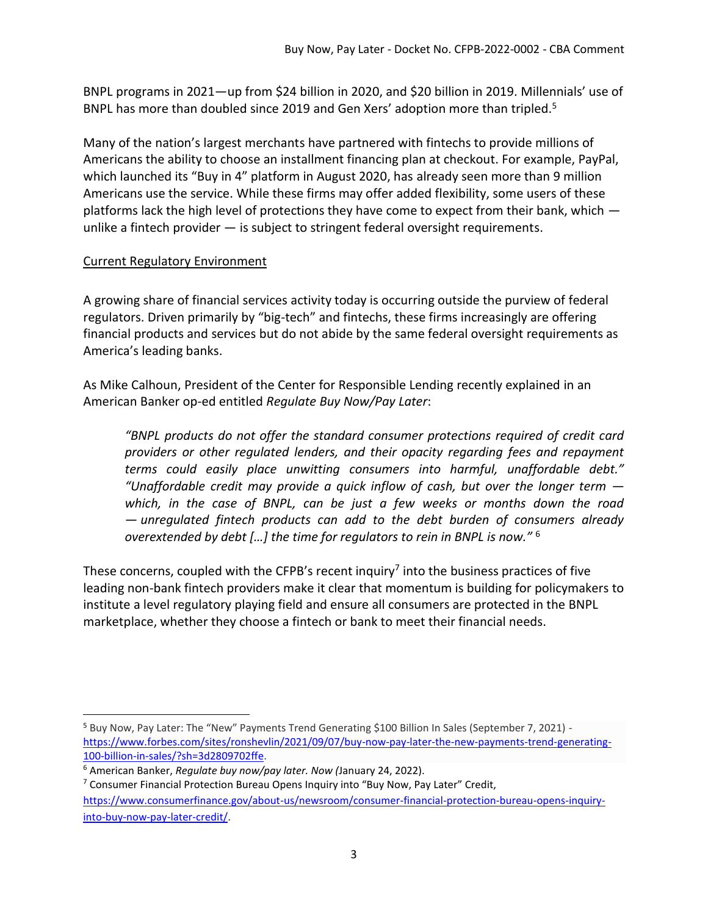BNPL programs in 2021—up from \$24 billion in 2020, and \$20 billion in 2019. Millennials' use of BNPL has more than doubled since 2019 and Gen Xers' adoption more than tripled.<sup>5</sup>

Many of the nation's largest merchants have partnered with fintechs to provide millions of Americans the ability to choose an installment financing plan at checkout. For example, PayPal, which launched its "Buy in 4" platform in August 2020, has already seen more than 9 million Americans use the service. While these firms may offer added flexibility, some users of these platforms lack the high level of protections they have come to expect from their bank, which unlike a fintech provider — is subject to stringent federal oversight requirements.

## Current Regulatory Environment

A growing share of financial services activity today is occurring outside the purview of federal regulators. Driven primarily by "big-tech" and fintechs, these firms increasingly are offering financial products and services but do not abide by the same federal oversight requirements as America's leading banks.

As Mike Calhoun, President of the Center for Responsible Lending recently explained in an American Banker op-ed entitled *Regulate Buy Now/Pay Later*:

*"BNPL products do not offer the standard consumer protections required of credit card providers or other regulated lenders, and their opacity regarding fees and repayment terms could easily place unwitting consumers into harmful, unaffordable debt." "Unaffordable credit may provide a quick inflow of cash, but over the longer term which, in the case of BNPL, can be just a few weeks or months down the road — unregulated fintech products can add to the debt burden of consumers already overextended by debt […] the time for regulators to rein in BNPL is now."* <sup>6</sup>

These concerns, coupled with the CFPB's recent inquiry<sup>7</sup> into the business practices of five leading non-bank fintech providers make it clear that momentum is building for policymakers to institute a level regulatory playing field and ensure all consumers are protected in the BNPL marketplace, whether they choose a fintech or bank to meet their financial needs.

<sup>5</sup> Buy Now, Pay Later: The "New" Payments Trend Generating \$100 Billion In Sales (September 7, 2021) [https://www.forbes.com/sites/ronshevlin/2021/09/07/buy-now-pay-later-the-new-payments-trend-generating-](https://www.forbes.com/sites/ronshevlin/2021/09/07/buy-now-pay-later-the-new-payments-trend-generating-100-billion-in-sales/?sh=3d2809702ffe)[100-billion-in-sales/?sh=3d2809702ffe.](https://www.forbes.com/sites/ronshevlin/2021/09/07/buy-now-pay-later-the-new-payments-trend-generating-100-billion-in-sales/?sh=3d2809702ffe)

<sup>6</sup> American Banker, *Regulate buy now/pay later. Now (*January 24, 2022).

 $7$  Consumer Financial Protection Bureau Opens Inquiry into "Buy Now, Pay Later" Credit, [https://www.consumerfinance.gov/about-us/newsroom/consumer-financial-protection-bureau-opens-inquiry](https://www.consumerfinance.gov/about-us/newsroom/consumer-financial-protection-bureau-opens-inquiry-into-buy-now-pay-later-credit/)[into-buy-now-pay-later-credit/.](https://www.consumerfinance.gov/about-us/newsroom/consumer-financial-protection-bureau-opens-inquiry-into-buy-now-pay-later-credit/)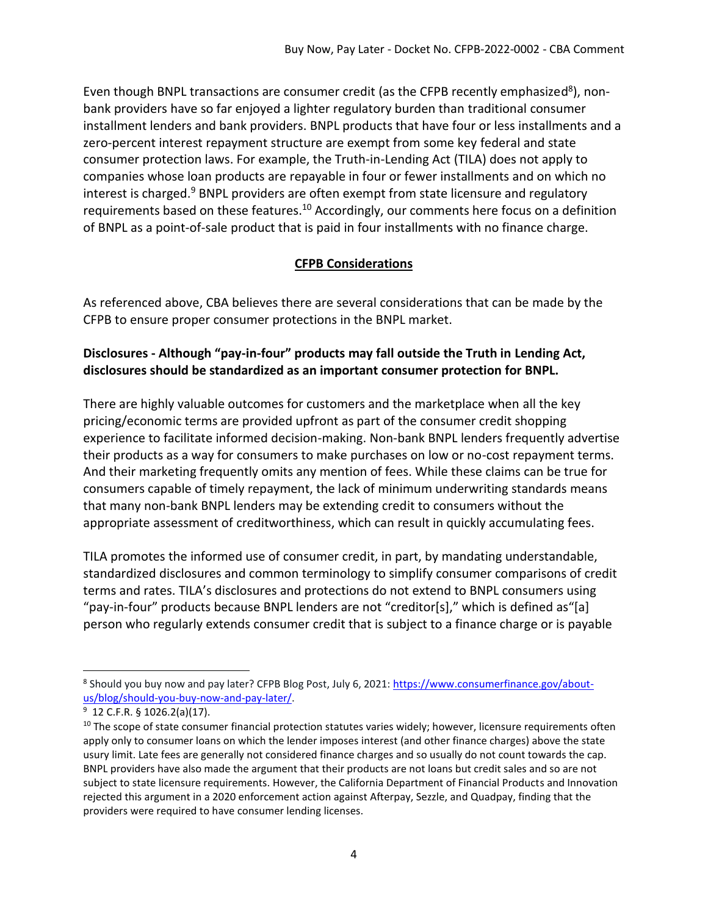Even though BNPL transactions are consumer credit (as the CFPB recently emphasized<sup>8</sup>), nonbank providers have so far enjoyed a lighter regulatory burden than traditional consumer installment lenders and bank providers. BNPL products that have four or less installments and a zero-percent interest repayment structure are exempt from some key federal and state consumer protection laws. For example, the Truth-in-Lending Act (TILA) does not apply to companies whose loan products are repayable in four or fewer installments and on which no interest is charged.<sup>9</sup> BNPL providers are often exempt from state licensure and regulatory requirements based on these features.<sup>10</sup> Accordingly, our comments here focus on a definition of BNPL as a point-of-sale product that is paid in four installments with no finance charge.

## **CFPB Considerations**

As referenced above, CBA believes there are several considerations that can be made by the CFPB to ensure proper consumer protections in the BNPL market.

# **Disclosures - Although "pay-in-four" products may fall outside the Truth in Lending Act, disclosures should be standardized as an important consumer protection for BNPL.**

There are highly valuable outcomes for customers and the marketplace when all the key pricing/economic terms are provided upfront as part of the consumer credit shopping experience to facilitate informed decision-making. Non-bank BNPL lenders frequently advertise their products as a way for consumers to make purchases on low or no-cost repayment terms. And their marketing frequently omits any mention of fees. While these claims can be true for consumers capable of timely repayment, the lack of minimum underwriting standards means that many non-bank BNPL lenders may be extending credit to consumers without the appropriate assessment of creditworthiness, which can result in quickly accumulating fees.

TILA promotes the informed use of consumer credit, in part, by mandating understandable, standardized disclosures and common terminology to simplify consumer comparisons of credit terms and rates. TILA's disclosures and protections do not extend to BNPL consumers using "pay-in-four" products because BNPL lenders are not "creditor[s]," which is defined as"[a] person who regularly extends consumer credit that is subject to a finance charge or is payable

<sup>&</sup>lt;sup>8</sup> Should you buy now and pay later? CFPB Blog Post, July 6, 2021: <u>https://www.consumerfinance.gov/about-</u> [us/blog/should-you-buy-now-and-pay-later/.](https://www.consumerfinance.gov/about-us/blog/should-you-buy-now-and-pay-later/) 

 $9$  12 C.F.R. § 1026.2(a)(17).

 $10$  The scope of state consumer financial protection statutes varies widely; however, licensure requirements often apply only to consumer loans on which the lender imposes interest (and other finance charges) above the state usury limit. Late fees are generally not considered finance charges and so usually do not count towards the cap. BNPL providers have also made the argument that their products are not loans but credit sales and so are not subject to state licensure requirements. However, the California Department of Financial Products and Innovation rejected this argument in a 2020 enforcement action against Afterpay, Sezzle, and Quadpay, finding that the providers were required to have consumer lending licenses.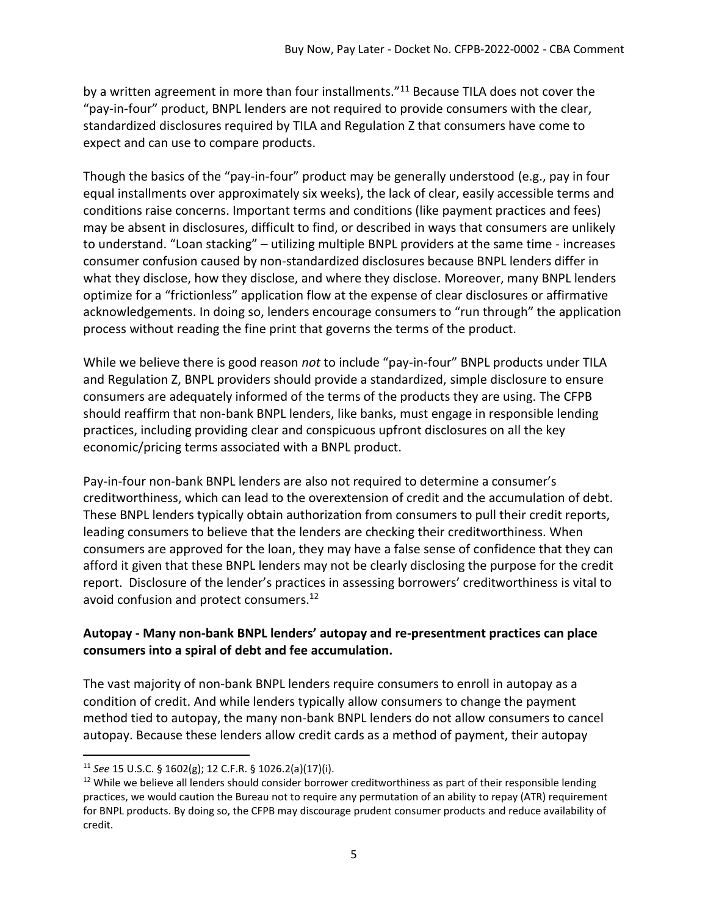by a written agreement in more than four installments."<sup>11</sup> Because TILA does not cover the "pay-in-four" product, BNPL lenders are not required to provide consumers with the clear, standardized disclosures required by TILA and Regulation Z that consumers have come to expect and can use to compare products.

Though the basics of the "pay-in-four" product may be generally understood (e.g., pay in four equal installments over approximately six weeks), the lack of clear, easily accessible terms and conditions raise concerns. Important terms and conditions (like payment practices and fees) may be absent in disclosures, difficult to find, or described in ways that consumers are unlikely to understand. "Loan stacking" – utilizing multiple BNPL providers at the same time - increases consumer confusion caused by non-standardized disclosures because BNPL lenders differ in what they disclose, how they disclose, and where they disclose. Moreover, many BNPL lenders optimize for a "frictionless" application flow at the expense of clear disclosures or affirmative acknowledgements. In doing so, lenders encourage consumers to "run through" the application process without reading the fine print that governs the terms of the product.

While we believe there is good reason *not* to include "pay-in-four" BNPL products under TILA and Regulation Z, BNPL providers should provide a standardized, simple disclosure to ensure consumers are adequately informed of the terms of the products they are using. The CFPB should reaffirm that non-bank BNPL lenders, like banks, must engage in responsible lending practices, including providing clear and conspicuous upfront disclosures on all the key economic/pricing terms associated with a BNPL product.

Pay-in-four non-bank BNPL lenders are also not required to determine a consumer's creditworthiness, which can lead to the overextension of credit and the accumulation of debt. These BNPL lenders typically obtain authorization from consumers to pull their credit reports, leading consumers to believe that the lenders are checking their creditworthiness. When consumers are approved for the loan, they may have a false sense of confidence that they can afford it given that these BNPL lenders may not be clearly disclosing the purpose for the credit report. Disclosure of the lender's practices in assessing borrowers' creditworthiness is vital to avoid confusion and protect consumers.<sup>12</sup>

## **Autopay - Many non-bank BNPL lenders' autopay and re-presentment practices can place consumers into a spiral of debt and fee accumulation.**

The vast majority of non-bank BNPL lenders require consumers to enroll in autopay as a condition of credit. And while lenders typically allow consumers to change the payment method tied to autopay, the many non-bank BNPL lenders do not allow consumers to cancel autopay. Because these lenders allow credit cards as a method of payment, their autopay

<sup>11</sup> *See* 15 U.S.C. § 1602(g); 12 C.F.R. § 1026.2(a)(17)(i).

 $12$  While we believe all lenders should consider borrower creditworthiness as part of their responsible lending practices, we would caution the Bureau not to require any permutation of an ability to repay (ATR) requirement for BNPL products. By doing so, the CFPB may discourage prudent consumer products and reduce availability of credit.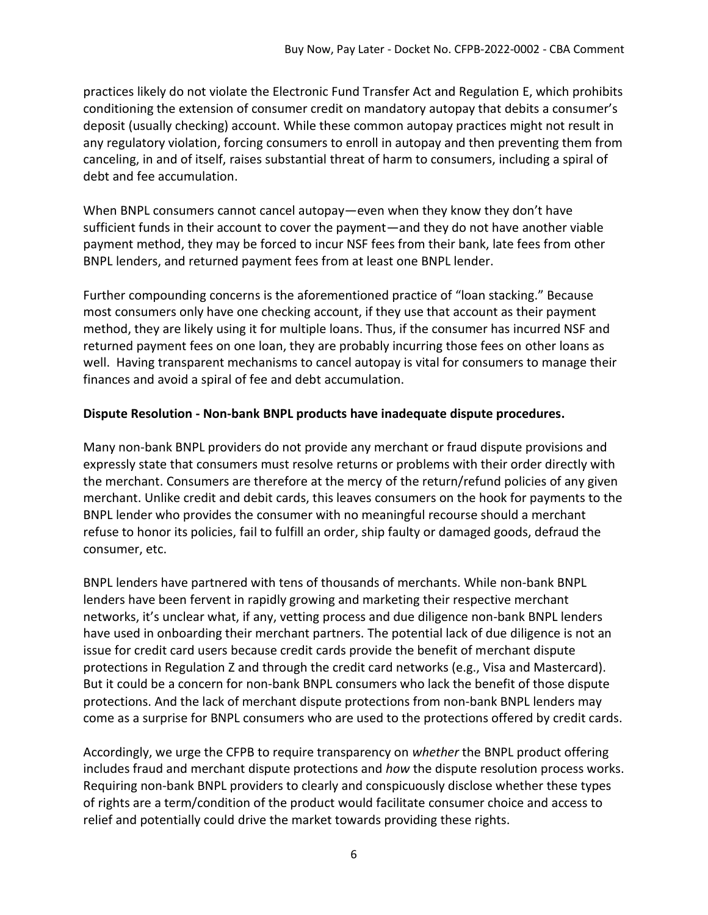practices likely do not violate the Electronic Fund Transfer Act and Regulation E, which prohibits conditioning the extension of consumer credit on mandatory autopay that debits a consumer's deposit (usually checking) account. While these common autopay practices might not result in any regulatory violation, forcing consumers to enroll in autopay and then preventing them from canceling, in and of itself, raises substantial threat of harm to consumers, including a spiral of debt and fee accumulation.

When BNPL consumers cannot cancel autopay—even when they know they don't have sufficient funds in their account to cover the payment—and they do not have another viable payment method, they may be forced to incur NSF fees from their bank, late fees from other BNPL lenders, and returned payment fees from at least one BNPL lender.

Further compounding concerns is the aforementioned practice of "loan stacking." Because most consumers only have one checking account, if they use that account as their payment method, they are likely using it for multiple loans. Thus, if the consumer has incurred NSF and returned payment fees on one loan, they are probably incurring those fees on other loans as well. Having transparent mechanisms to cancel autopay is vital for consumers to manage their finances and avoid a spiral of fee and debt accumulation.

#### **Dispute Resolution - Non-bank BNPL products have inadequate dispute procedures.**

Many non-bank BNPL providers do not provide any merchant or fraud dispute provisions and expressly state that consumers must resolve returns or problems with their order directly with the merchant. Consumers are therefore at the mercy of the return/refund policies of any given merchant. Unlike credit and debit cards, this leaves consumers on the hook for payments to the BNPL lender who provides the consumer with no meaningful recourse should a merchant refuse to honor its policies, fail to fulfill an order, ship faulty or damaged goods, defraud the consumer, etc.

BNPL lenders have partnered with tens of thousands of merchants. While non-bank BNPL lenders have been fervent in rapidly growing and marketing their respective merchant networks, it's unclear what, if any, vetting process and due diligence non-bank BNPL lenders have used in onboarding their merchant partners. The potential lack of due diligence is not an issue for credit card users because credit cards provide the benefit of merchant dispute protections in Regulation Z and through the credit card networks (e.g., Visa and Mastercard). But it could be a concern for non-bank BNPL consumers who lack the benefit of those dispute protections. And the lack of merchant dispute protections from non-bank BNPL lenders may come as a surprise for BNPL consumers who are used to the protections offered by credit cards.

Accordingly, we urge the CFPB to require transparency on *whether* the BNPL product offering includes fraud and merchant dispute protections and *how* the dispute resolution process works. Requiring non-bank BNPL providers to clearly and conspicuously disclose whether these types of rights are a term/condition of the product would facilitate consumer choice and access to relief and potentially could drive the market towards providing these rights.